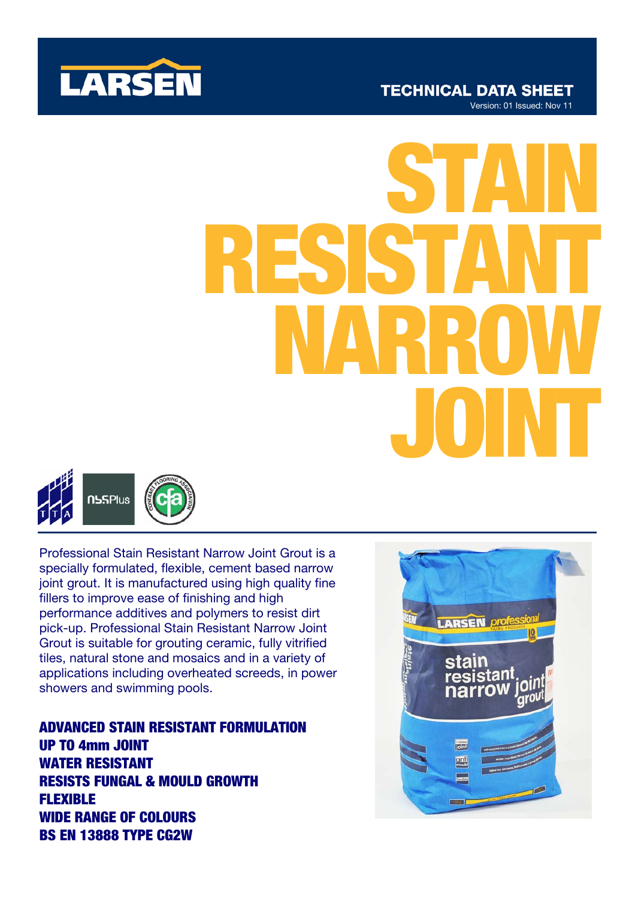

# JOINT STAIN RESISTANT NARROW



Professional Stain Resistant Narrow Joint Grout is a specially formulated, flexible, cement based narrow joint grout. It is manufactured using high quality fine fillers to improve ease of finishing and high performance additives and polymers to resist dirt pick-up. Professional Stain Resistant Narrow Joint Grout is suitable for grouting ceramic, fully vitrified tiles, natural stone and mosaics and in a variety of applications including overheated screeds, in power showers and swimming pools.

ADVANCED STAIN RESISTANT FORMULATION UP TO 4mm JOINT WATER RESISTANT RESISTS FUNGAL & MOULD GROWTH FLEXIBLE WIDE RANGE OF COLOURS BS EN 13888 TYPE CG2W

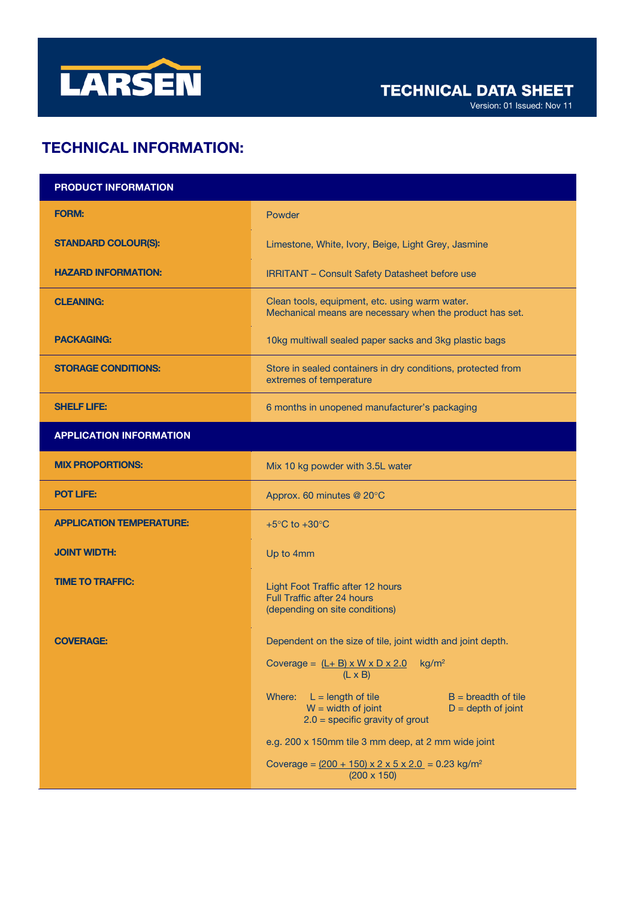

Version: 01 Issued: Nov 11

# TECHNICAL INFORMATION:

| <b>PRODUCT INFORMATION</b>      |                                                                                                                                              |
|---------------------------------|----------------------------------------------------------------------------------------------------------------------------------------------|
| <b>FORM:</b>                    | Powder                                                                                                                                       |
| <b>STANDARD COLOUR(S):</b>      | Limestone, White, Ivory, Beige, Light Grey, Jasmine                                                                                          |
| <b>HAZARD INFORMATION:</b>      | <b>IRRITANT - Consult Safety Datasheet before use</b>                                                                                        |
| <b>CLEANING:</b>                | Clean tools, equipment, etc. using warm water.<br>Mechanical means are necessary when the product has set.                                   |
| <b>PACKAGING:</b>               | 10kg multiwall sealed paper sacks and 3kg plastic bags                                                                                       |
| <b>STORAGE CONDITIONS:</b>      | Store in sealed containers in dry conditions, protected from<br>extremes of temperature                                                      |
| <b>SHELF LIFE:</b>              | 6 months in unopened manufacturer's packaging                                                                                                |
| <b>APPLICATION INFORMATION</b>  |                                                                                                                                              |
| <b>MIX PROPORTIONS:</b>         | Mix 10 kg powder with 3.5L water                                                                                                             |
| <b>POT LIFE:</b>                | Approx. 60 minutes @ 20°C                                                                                                                    |
| <b>APPLICATION TEMPERATURE:</b> | +5 $\mathrm{^{\circ}C}$ to +30 $\mathrm{^{\circ}C}$                                                                                          |
| <b>JOINT WIDTH:</b>             | Up to 4mm                                                                                                                                    |
| <b>TIME TO TRAFFIC:</b>         | Light Foot Traffic after 12 hours<br><b>Full Traffic after 24 hours</b><br>(depending on site conditions)                                    |
| <b>COVERAGE:</b>                | Dependent on the size of tile, joint width and joint depth.                                                                                  |
|                                 | Coverage = $(L + B) \times W \times D \times 2.0$<br>kg/m <sup>2</sup><br>$(L \times B)$                                                     |
|                                 | $L =$ length of tile<br>$B =$ breadth of tile<br>Where:<br>$W = width of joint$<br>$D = depth of joint$<br>$2.0$ = specific gravity of grout |
|                                 | e.g. 200 x 150mm tile 3 mm deep, at 2 mm wide joint                                                                                          |
|                                 | Coverage = $(200 + 150) \times 2 \times 5 \times 2.0 = 0.23$ kg/m <sup>2</sup><br>$(200 \times 150)$                                         |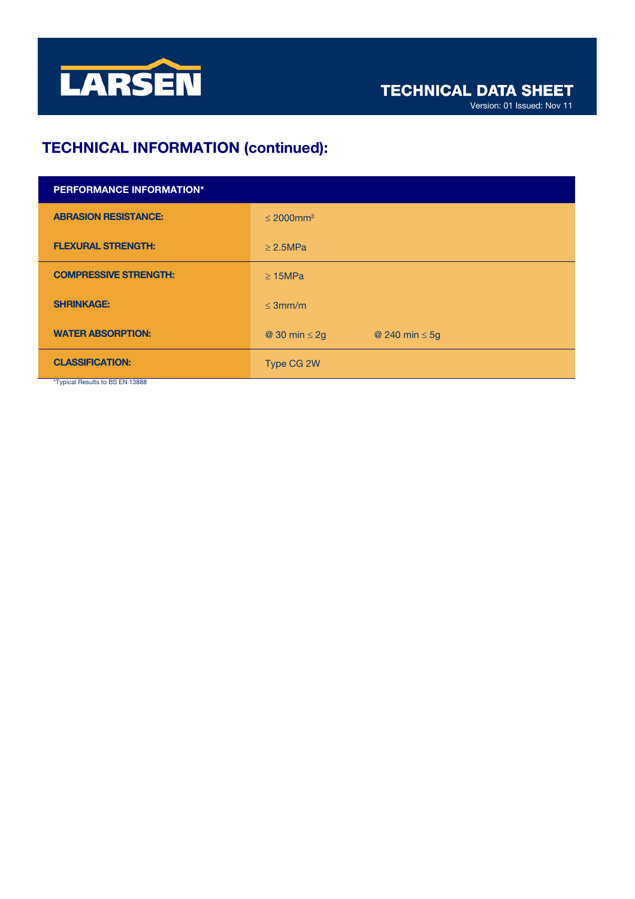

# TECHNICAL INFORMATION (continued):

| <b>PERFORMANCE INFORMATION*</b> |                                           |
|---------------------------------|-------------------------------------------|
| <b>ABRASION RESISTANCE:</b>     | $\leq 2000$ mm <sup>3</sup>               |
| <b>FLEXURAL STRENGTH:</b>       | $\geq$ 2.5MPa                             |
| <b>COMPRESSIVE STRENGTH:</b>    | $\geq$ 15MPa                              |
| <b>SHRINKAGE:</b>               | $\leq$ 3mm/m                              |
| <b>WATER ABSORPTION:</b>        | @ 30 min $\leq$ 2g<br>@ 240 min $\leq$ 5g |
| <b>CLASSIFICATION:</b>          | Type CG 2W                                |

Typical Results to BS EN 13